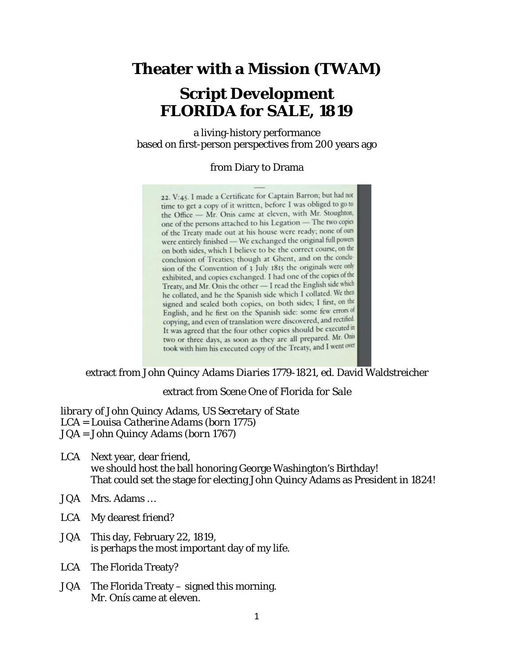## **Theater with a Mission (TWAM)**

# **Script Development FLORIDA for SALE, 1819**

a living-history performance based on first-person perspectives from 200 years ago

#### from Diary to Drama

22. V:45. I made a Certificate for Captain Barron; but had not time to get a copy of it written, before I was obliged to go to the Office - Mr. Onis came at eleven, with Mr. Stoughton, one of the persons attached to his Legation - The two copies of the Treaty made out at his house were ready; none of ours were entirely finished - We exchanged the original full powers on both sides, which I believe to be the correct course, on the conclusion of Treaties; though at Ghent, and on the condusion of the Convention of 3 July 1815 the originals were only exhibited, and copies exchanged. I had one of the copies of the Treaty, and Mr. Onis the other - I read the English side which he collated, and he the Spanish side which I collated. We then signed and sealed both copies, on both sides; I first, on the English, and he first on the Spanish side: some few errors of copying, and even of translation were discovered, and rectified It was agreed that the four other copies should be executed in two or three days, as soon as they are all prepared. Mr. Onis took with him his executed copy of the Treaty, and I went over

extract from *John Quincy Adams Diaries 1779-1821*, ed. David Waldstreicher

extract from Scene One of *Florida for Sale*

*library of John Quincy Adams, US Secretary of State LCA = Louisa Catherine Adams (born 1775) JQA = John Quincy Adams (born 1767)*

- LCA Next year, dear friend, *we* should host the ball honoring George Washington's Birthday! That could set the stage for electing John Quincy Adams as President in 1824!
- JQA Mrs. Adams …
- LCA My dearest friend?
- JQA This day, February 22, 1819, is perhaps the most important day of my life.
- LCA The Florida Treaty?
- JQA The Florida Treaty signed this morning. Mr. Onís came at eleven.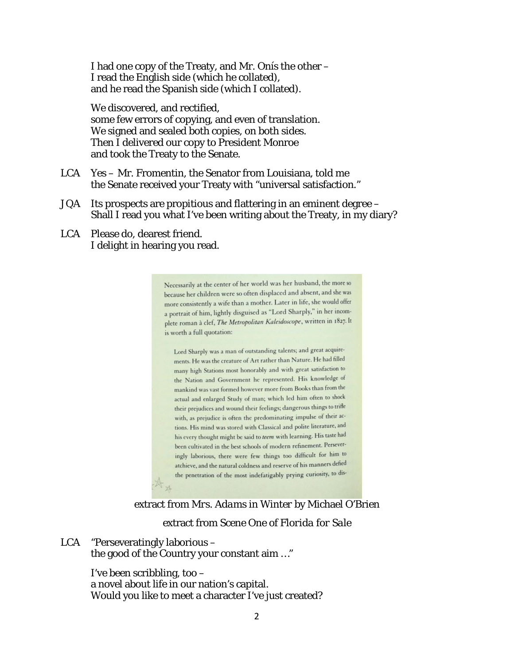I had one copy of the Treaty, and Mr. Onís the other – I read the English side (which he collated), and he read the Spanish side (which I collated).

We discovered, and rectified. some few errors of copying, and even of translation. We signed and sealed both copies, on both sides. Then I delivered our copy to President Monroe and took the Treaty to the Senate.

- LCA Yes Mr. Fromentin, the Senator from Louisiana, told me the Senate received your Treaty with "universal satisfaction."
- JQA Its prospects are propitious and flattering in an eminent degree Shall I read you what I've been writing about the Treaty, in my diary?
- LCA Please do, dearest friend. I delight in hearing you read.

Necessarily at the center of her world was her husband, the more so because her children were so often displaced and absent, and she was more consistently a wife than a mother. Later in life, she would offer a portrait of him, lightly disguised as "Lord Sharply," in her incomplete roman à clef, The Metropolitan Kaleidoscope, written in 1827. It is worth a full quotation:

Lord Sharply was a man of outstanding talents; and great acquirements. He was the creature of Art rather than Nature. He had filled many high Stations most honorably and with great satisfaction to the Nation and Government he represented. His knowledge of mankind was vast formed however more from Books than from the actual and enlarged Study of man; which led him often to shock their prejudices and wound their feelings; dangerous things to trifle with, as prejudice is often the predominating impulse of their actions. His mind was stored with Classical and polite literature, and his every thought might be said to teem with learning. His taste had been cultivated in the best schools of modern refinement. Perseveringly laborious, there were few things too difficult for him to atchieve, and the natural coldness and reserve of his manners defied the penetration of the most indefatigably prying curiosity, to dis-

### extract from *Mrs. Adams in Winter* by Michael O'Brien

#### extract from Scene One of *Florida for Sale*

LCA "Perseveratingly laborious – the good of the Country your constant aim …"

> I've been scribbling, too – a novel about life in our nation's capital. Would you like to meet a character I've just created?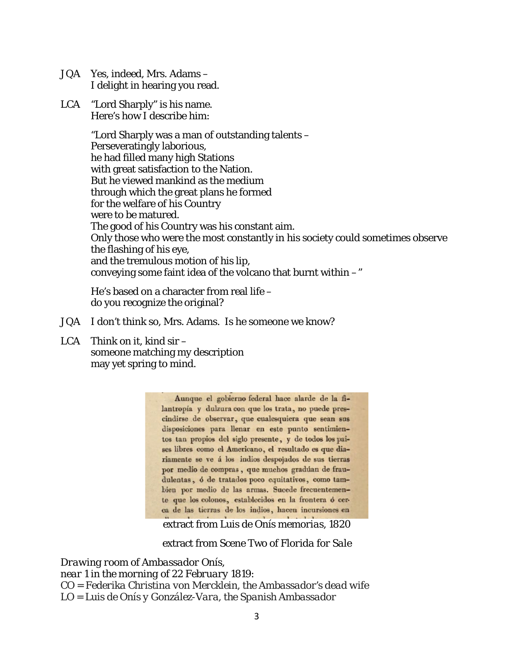- JQA Yes, indeed, Mrs. Adams I delight in hearing you read.
- LCA "Lord Sharply" is his name. Here's how I describe him:

"Lord Sharply was a man of outstanding talents – Perseveratingly laborious, he had filled many high Stations with great satisfaction to the Nation. But he viewed mankind as the medium through which the great plans he formed for the welfare of his Country were to be matured. The good of his Country was his constant aim. Only those who were the most constantly in his society could sometimes observe the flashing of his eye, and the tremulous motion of his lip, conveying some faint idea of the volcano that burnt within  $-\ddot{}$ 

He's based on a character from real life – do you recognize the original?

- JQA I don't think so, Mrs. Adams. Is he someone we know?
- LCA Think on it, kind sir someone matching my description may yet spring to mind.

Aunque el gobierno federal hace alarde de la filantropía y dulzura con que los trata, no puede prescindirse de observar, que cualesquiera que sean sus disposiciones para llenar en este punto sentimientos tan propios del siglo presente, y de todos los paises libres como el Americano, el resultado es que diariamente se ve á los indios despojados de sus tierras por medio de compras, que muchos gradúan de fraudulentas, ó de tratados poco equitativos, como tambien por medio de las armas. Sucede frecuentemente que los colonos, establecidos en la frontera ó cerca de las tierras de los indios, hacen incursiones en  $\mathbf{1}$   $\mathbf{1}$ 

extract from Luis de Onís *memorias*, 1820

extract from Scene Two of *Florida for Sale*

*Drawing room of Ambassador Onís, near 1 in the morning of 22 February 1819: CO = Federika Christina von Mercklein, the Ambassador's dead wife LO = Luis de Onís y González-Vara, the Spanish Ambassador*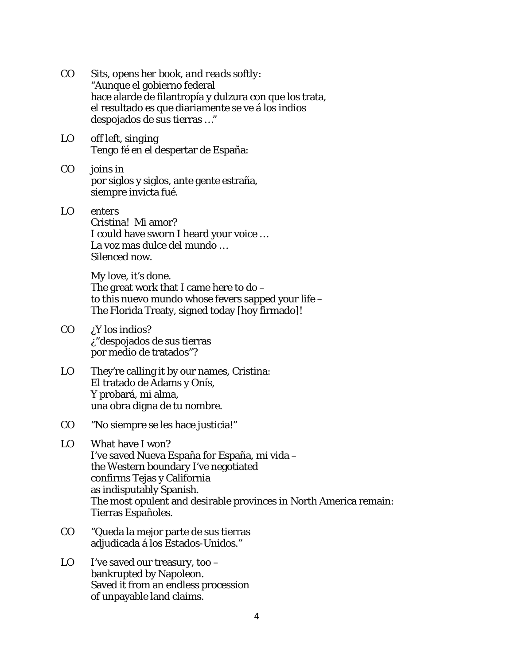- CO *Sits, opens her book, and reads softly:* "Aunque el gobierno federal hace alarde de filantropía y dulzura con que los trata, el resultado es que diariamente se ve á los indios despojados de sus tierras …"
- LO *off left, singing* Tengo fé en el despertar de España:
- CO *joins in*  por siglos y siglos, ante gente estraña, siempre invicta fué.
- LO *enters* Cristina! Mi amor? I could have sworn I heard your voice … La voz mas dulce del mundo … Silenced now.

My love, it's done. The great work that I came here to  $do$ to this nuevo mundo whose fevers sapped your life – The Florida Treaty, signed today [hoy firmado]!

- $CO$  *;Y* los indios? ¿"despojados de sus tierras por medio de tratados"?
- LO They're calling it by our names, Cristina: El tratado de Adams y Onís, Y probará, mi alma, una obra digna de tu nombre.
- CO "No siempre se les hace justicia!"
- LO What have I won? I've saved Nueva España for España, mi vida – the Western boundary I've negotiated confirms Tejas y California as indisputably Spanish. The most opulent and desirable provinces in North America remain: Tierras Españoles.
- CO "Queda la mejor parte de sus tierras adjudicada á los Estados-Unidos."
- $LO$  I've saved our treasury, too bankrupted by Napoleon. Saved it from an endless procession of unpayable land claims.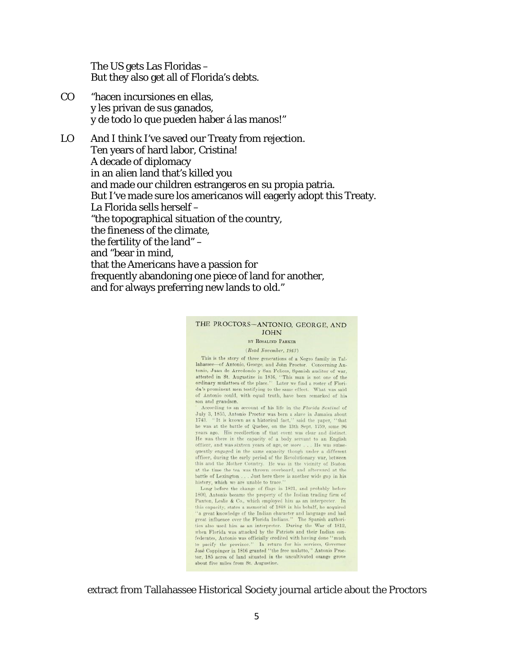The US gets Las Floridas – But they also get all of Florida's debts.

CO "hacen incursiones en ellas, y les privan de sus ganados, y de todo lo que pueden haber á las manos!"

LO And I think I've saved our Treaty from rejection. Ten years of hard labor, Cristina! A decade of diplomacy in an alien land that's killed you and made our children estrangeros en su propia patria. But I've made sure los americanos will eagerly adopt this Treaty. La Florida sells herself – "the topographical situation of the country, the fineness of the climate, the fertility of the land" – and "bear in mind, that the Americans have a passion for frequently abandoning one piece of land for another, and for always preferring new lands to old."

#### THE PROCTORS-ANTONIO, GEORGE, AND **JOHN**

BY ROSALIND PARKER

(Read November, 1943)

This is the story of three generations of a Negro family in Tallahassee-of Antonio, George, and John Proctor. Concerning Antonio, Juan de Arredondo y San Felices, Spanish auditor of war, attested in St. Augustine in 1816, "This man is not one of the ordinary mulattoes of the place." Later we find a roster of Florida's prominent men testifying to the same effect. What was said of Antonio could, with equal truth, have been remarked of his son and grandson.

According to an account of his life in the Florida Sentinel of July 3, 1855, Antonio Proetor was born a slave in Jamaica about 1743. "It is known as a historical fact," said the paper, "that he was at the battle of Quebec, on the 13th Sept. 1759, some 96 years ago. His recollection of that event was clear and distinct. He was there in the capacity of a body servant to an English officer, and was sixteen years of age, or more . . . He was subsequently engaged in the same capacity though under a different officer, during the early period of the Revolutionary war, between this and the Mother Country. He was in the vicinity of Boston at the time the tea was thrown overboard, and afterward at the battle of Lexington . . . Just here there is another wide gap in his  $% \mathcal{N}$ history, which we are unable to trace.

Long before the change of flags in 1821, and probably before<br>1800, Antonio became the property of the Indian trading firm of Panton, Leslie & Co., which employed him as an interpreter. In this capacity, states a memorial of 1848 in his behalf, he acquired "a great knowledge of the Indian character and language and had great influence over the Florida Indians." The Spanish authorities also used him as an interpreter. During the War of 1812, when Florida was attacked by the Patriots and their Indian con- $\label{eq:3} \begin{minipage}[c]{0.9\textwidth} \begin{minipage}[c]{0.9\textwidth} \begin{itemize} \end{itemize} & \text{A.} & \text{A.} & \text{A.} & \text{A.} & \text{B.} \\ \end{minipage}[c]{\text{The previous use of the private structure} \begin{minipage}[c]{0.9\textwidth} \begin{itemize} \end{itemize} & \text{A.} & \text{B.} & \text{B.} & \text{B.} \\ \end{minipage}[c]{\text{The new data} \begin{itemize} \end{itemize} & \text{A.} & \text{B.} & \text{B.} & \text{B.}$ tor, 185 aeres of land situated in the uncultivated orange grove about five miles from St. Augustine.

extract from Tallahassee Historical Society journal article about the Proctors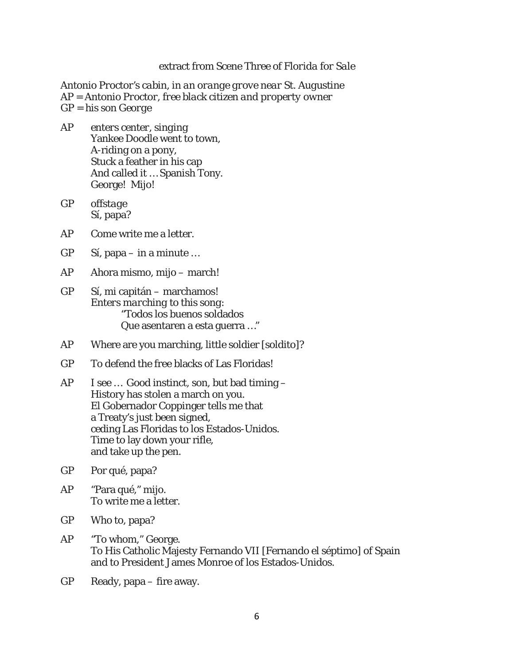#### extract from Scene Three of *Florida for Sale*

*Antonio Proctor's cabin, in an orange grove near St. Augustine AP = Antonio Proctor, free black citizen and property owner GP = his son George*

- AP *enters center, singing* Yankee Doodle went to town, A-riding on a pony, Stuck a feather in his cap And called it … Spanish Tony. George! Mijo!
- GP *offstage* Sí, papa?
- AP Come write me a letter.
- GP Sí, papa in a minute …
- AP Ahora mismo, mijo march!
- GP Sí, mi capitán marchamos! *Enters marching to this song:* "Todos los buenos soldados Que asentaren a esta guerra …"
- AP Where are you marching, little soldier [soldito]?
- GP To defend the free blacks of Las Floridas!
- AP I see … Good instinct, son, but bad timing History has stolen a march on you. El Gobernador Coppinger tells me that a Treaty's just been signed, ceding Las Floridas to los Estados-Unidos. Time to lay down your rifle, and take up the pen.
- GP Por qué, papa?
- AP "Para qué," mijo. To write me a letter.
- GP Who to, papa?
- AP "To whom," George. To His Catholic Majesty Fernando VII [Fernando el séptimo] of Spain and to President James Monroe of los Estados-Unidos.
- GP Ready, papa fire away.